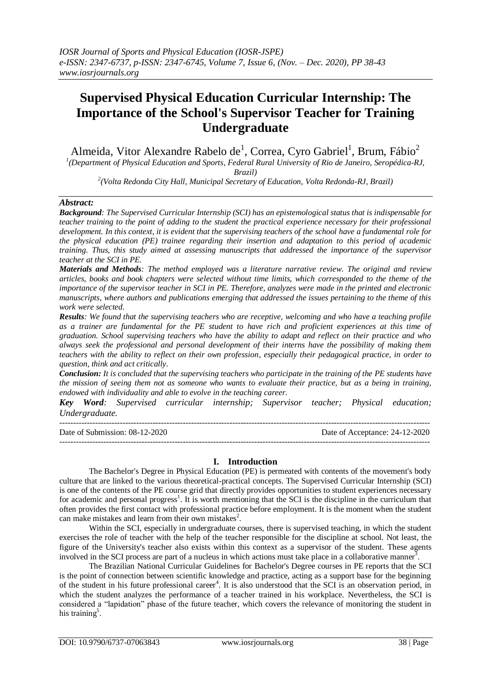# **Supervised Physical Education Curricular Internship: The Importance of the School's Supervisor Teacher for Training Undergraduate**

Almeida, Vitor Alexandre Rabelo de<sup>1</sup>, Correa, Cyro Gabriel<sup>1</sup>, Brum, Fábio<sup>2</sup>

*1 (Department of Physical Education and Sports, Federal Rural University of Rio de Janeiro, Seropédica-RJ, Brazil)*

*2 (Volta Redonda City Hall, Municipal Secretary of Education, Volta Redonda-RJ, Brazil)*

# *Abstract:*

*Background: The Supervised Curricular Internship (SCI) has an epistemological status that is indispensable for teacher training to the point of adding to the student the practical experience necessary for their professional development. In this context, it is evident that the supervising teachers of the school have a fundamental role for the physical education (PE) trainee regarding their insertion and adaptation to this period of academic training. Thus, this study aimed at assessing manuscripts that addressed the importance of the supervisor teacher at the SCI in PE.*

*Materials and Methods: The method employed was a literature narrative review. The original and review articles, books and book chapters were selected without time limits, which corresponded to the theme of the importance of the supervisor teacher in SCI in PE. Therefore, analyzes were made in the printed and electronic manuscripts, where authors and publications emerging that addressed the issues pertaining to the theme of this work were selected.*

*Results: We found that the supervising teachers who are receptive, welcoming and who have a teaching profile as a trainer are fundamental for the PE student to have rich and proficient experiences at this time of graduation. School supervising teachers who have the ability to adapt and reflect on their practice and who always seek the professional and personal development of their interns have the possibility of making them teachers with the ability to reflect on their own profession, especially their pedagogical practice, in order to question, think and act critically.*

*Conclusion: It is concluded that the supervising teachers who participate in the training of the PE students have the mission of seeing them not as someone who wants to evaluate their practice, but as a being in training, endowed with individuality and able to evolve in the teaching career.*

*Key Word: Supervised curricular internship; Supervisor teacher; Physical education; Undergraduate.*

--------------------------------------------------------------------------------------------------------------------------------------- Date of Submission: 08-12-2020 Date of Acceptance: 24-12-2020 ---------------------------------------------------------------------------------------------------------------------------------------

# **I. Introduction**

The Bachelor's Degree in Physical Education (PE) is permeated with contents of the movement's body culture that are linked to the various theoretical-practical concepts. The Supervised Curricular Internship (SCI) is one of the contents of the PE course grid that directly provides opportunities to student experiences necessary for academic and personal progress<sup>1</sup>. It is worth mentioning that the SCI is the discipline in the curriculum that often provides the first contact with professional practice before employment. It is the moment when the student can make mistakes and learn from their own mistakes<sup>2</sup>.

Within the SCI, especially in undergraduate courses, there is supervised teaching, in which the student exercises the role of teacher with the help of the teacher responsible for the discipline at school. Not least, the figure of the University's teacher also exists within this context as a supervisor of the student. These agents involved in the SCI process are part of a nucleus in which actions must take place in a collaborative manner<sup>3</sup>.

The Brazilian National Curricular Guidelines for Bachelor's Degree courses in PE reports that the SCI is the point of connection between scientific knowledge and practice, acting as a support base for the beginning of the student in his future professional career<sup>4</sup>. It is also understood that the SCI is an observation period, in which the student analyzes the performance of a teacher trained in his workplace. Nevertheless, the SCI is considered a "lapidation" phase of the future teacher, which covers the relevance of monitoring the student in his training<sup>5</sup>.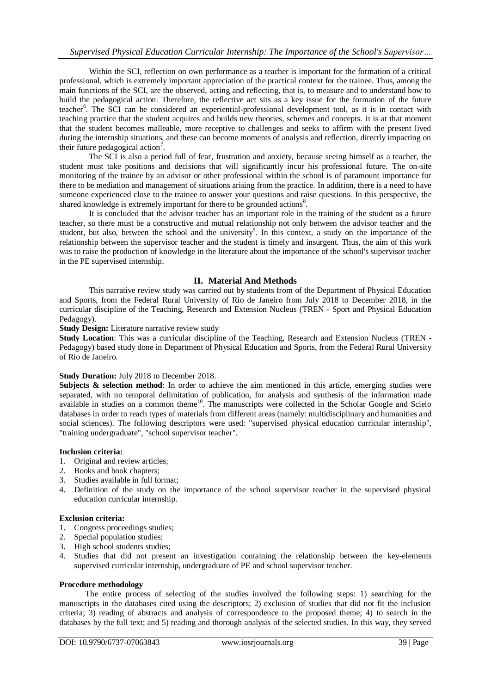Within the SCI, reflection on own performance as a teacher is important for the formation of a critical professional, which is extremely important appreciation of the practical context for the trainee. Thus, among the main functions of the SCI, are the observed, acting and reflecting, that is, to measure and to understand how to build the pedagogical action. Therefore, the reflective act sits as a key issue for the formation of the future teacher<sup>6</sup>. The SCI can be considered an experiential-professional development tool, as it is in contact with teaching practice that the student acquires and builds new theories, schemes and concepts. It is at that moment that the student becomes malleable, more receptive to challenges and seeks to affirm with the present lived during the internship situations, and these can become moments of analysis and reflection, directly impacting on their future pedagogical action<sup>7</sup>.

The SCI is also a period full of fear, frustration and anxiety, because seeing himself as a teacher, the student must take positions and decisions that will significantly incur his professional future. The on-site monitoring of the trainee by an advisor or other professional within the school is of paramount importance for there to be mediation and management of situations arising from the practice. In addition, there is a need to have someone experienced close to the trainee to answer your questions and raise questions. In this perspective, the shared knowledge is extremely important for there to be grounded actions<sup>8</sup>.

It is concluded that the advisor teacher has an important role in the training of the student as a future teacher, so there must be a constructive and mutual relationship not only between the advisor teacher and the student, but also, between the school and the university<sup>9</sup>. In this context, a study on the importance of the relationship between the supervisor teacher and the student is timely and insurgent. Thus, the aim of this work was to raise the production of knowledge in the literature about the importance of the school's supervisor teacher in the PE supervised internship.

## **II. Material And Methods**

This narrative review study was carried out by students from of the Department of Physical Education and Sports, from the Federal Rural University of Rio de Janeiro from July 2018 to December 2018, in the curricular discipline of the Teaching, Research and Extension Nucleus (TREN - Sport and Physical Education Pedagogy).

### **Study Design:** Literature narrative review study

**Study Location**: This was a curricular discipline of the Teaching, Research and Extension Nucleus (TREN - Pedagogy) based study done in Department of Physical Education and Sports, from the Federal Rural University of Rio de Janeiro.

## **Study Duration:** July 2018 to December 2018.

**Subjects & selection method**: In order to achieve the aim mentioned in this article, emerging studies were separated, with no temporal delimitation of publication, for analysis and synthesis of the information made available in studies on a common theme<sup>10</sup>. The manuscripts were collected in the Scholar Google and Scielo databases in order to reach types of materials from different areas (namely: multidisciplinary and humanities and social sciences). The following descriptors were used: "supervised physical education curricular internship", "training undergraduate", "school supervisor teacher".

#### **Inclusion criteria:**

- 1. Original and review articles;
- 2. Books and book chapters;
- 3. Studies available in full format;
- 4. Definition of the study on the importance of the school supervisor teacher in the supervised physical education curricular internship.

#### **Exclusion criteria:**

- 1. Congress proceedings studies;
- 2. Special population studies;
- 3. High school students studies;
- 4. Studies that did not present an investigation containing the relationship between the key-elements supervised curricular internship, undergraduate of PE and school supervisor teacher.

#### **Procedure methodology**

The entire process of selecting of the studies involved the following steps: 1) searching for the manuscripts in the databases cited using the descriptors; 2) exclusion of studies that did not fit the inclusion criteria; 3) reading of abstracts and analysis of correspondence to the proposed theme; 4) to search in the databases by the full text; and 5) reading and thorough analysis of the selected studies. In this way, they served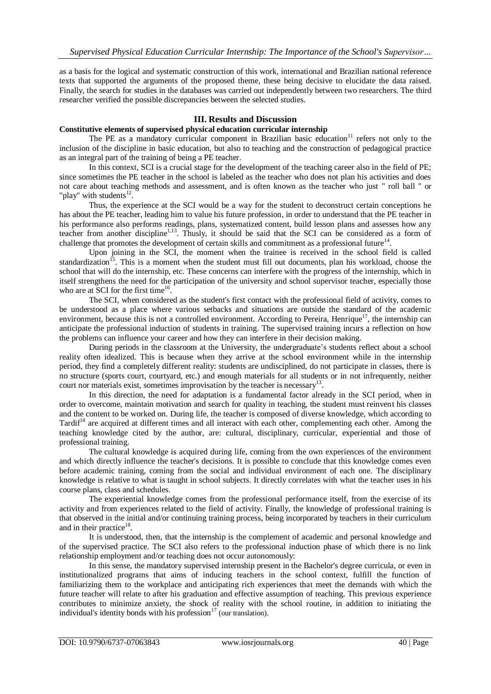as a basis for the logical and systematic construction of this work, international and Brazilian national reference texts that supported the arguments of the proposed theme, these being decisive to elucidate the data raised. Finally, the search for studies in the databases was carried out independently between two researchers. The third researcher verified the possible discrepancies between the selected studies.

# **III. Results and Discussion**

## **Constitutive elements of supervised physical education curricular internship**

The PE as a mandatory curricular component in Brazilian basic education<sup>11</sup> refers not only to the inclusion of the discipline in basic education, but also to teaching and the construction of pedagogical practice as an integral part of the training of being a PE teacher.

In this context, SCI is a crucial stage for the development of the teaching career also in the field of PE; since sometimes the PE teacher in the school is labeled as the teacher who does not plan his activities and does not care about teaching methods and assessment, and is often known as the teacher who just " roll ball " or "play" with students $^{12}$ .

Thus, the experience at the SCI would be a way for the student to deconstruct certain conceptions he has about the PE teacher, leading him to value his future profession, in order to understand that the PE teacher in his performance also performs readings, plans, systematized content, build lesson plans and assesses how any teacher from another discipline<sup>1,13</sup>. Thusly, it should be said that the SCI can be considered as a form of challenge that promotes the development of certain skills and commitment as a professional future<sup>14</sup>.

Upon joining in the SCI, the moment when the trainee is received in the school field is called standardization<sup>15</sup>. This is a moment when the student must fill out documents, plan his workload, choose the school that will do the internship, etc. These concerns can interfere with the progress of the internship, which in itself strengthens the need for the participation of the university and school supervisor teacher, especially those who are at SCI for the first time<sup>16</sup>.

The SCI, when considered as the student's first contact with the professional field of activity, comes to be understood as a place where various setbacks and situations are outside the standard of the academic environment, because this is not a controlled environment. According to Pereira, Henrique<sup>17</sup>, the internship can anticipate the professional induction of students in training. The supervised training incurs a reflection on how the problems can influence your career and how they can interfere in their decision making.

During periods in the classroom at the University, the undergraduate's students reflect about a school reality often idealized. This is because when they arrive at the school environment while in the internship period, they find a completely different reality: students are undisciplined, do not participate in classes, there is no structure (sports court, courtyard, etc.) and enough materials for all students or in not infrequently, neither court nor materials exist, sometimes improvisation by the teacher is necessary<sup>13</sup>.

In this direction, the need for adaptation is a fundamental factor already in the SCI period, when in order to overcome, maintain motivation and search for quality in teaching, the student must reinvent his classes and the content to be worked on. During life, the teacher is composed of diverse knowledge, which according to Tardif<sup>18</sup> are acquired at different times and all interact with each other, complementing each other. Among the teaching knowledge cited by the author, are: cultural, disciplinary, curricular, experiential and those of professional training.

The cultural knowledge is acquired during life, coming from the own experiences of the environment and which directly influence the teacher's decisions. It is possible to conclude that this knowledge comes even before academic training, coming from the social and individual environment of each one. The disciplinary knowledge is relative to what is taught in school subjects. It directly correlates with what the teacher uses in his course plans, class and schedules.

The experiential knowledge comes from the professional performance itself, from the exercise of its activity and from experiences related to the field of activity. Finally, the knowledge of professional training is that observed in the initial and/or continuing training process, being incorporated by teachers in their curriculum and in their practice<sup>18</sup>.

It is understood, then, that the internship is the complement of academic and personal knowledge and of the supervised practice. The SCI also refers to the professional induction phase of which there is no link relationship employment and/or teaching does not occur autonomously:

In this sense, the mandatory supervised internship present in the Bachelor's degree curricula, or even in institutionalized programs that aims of inducing teachers in the school context, fulfill the function of familiarizing them to the workplace and anticipating rich experiences that meet the demands with which the future teacher will relate to after his graduation and effective assumption of teaching. This previous experience contributes to minimize anxiety, the shock of reality with the school routine, in addition to initiating the individual's identity bonds with his profession $17$  (our translation).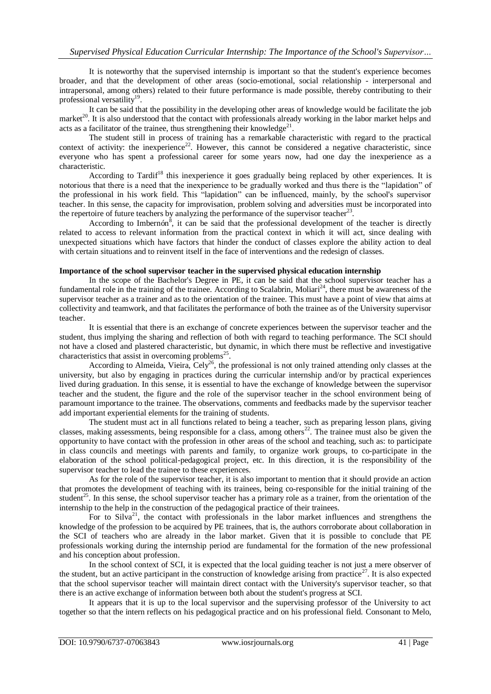It is noteworthy that the supervised internship is important so that the student's experience becomes broader, and that the development of other areas (socio-emotional, social relationship - interpersonal and intrapersonal, among others) related to their future performance is made possible, thereby contributing to their professional versatility<sup>19</sup>.

It can be said that the possibility in the developing other areas of knowledge would be facilitate the job market<sup>20</sup>. It is also understood that the contact with professionals already working in the labor market helps and acts as a facilitator of the trainee, thus strengthening their knowledge<sup>21</sup>.

The student still in process of training has a remarkable characteristic with regard to the practical context of activity: the inexperience<sup>22</sup>. However, this cannot be considered a negative characteristic, since everyone who has spent a professional career for some years now, had one day the inexperience as a characteristic.

According to Tardif<sup>18</sup> this inexperience it goes gradually being replaced by other experiences. It is notorious that there is a need that the inexperience to be gradually worked and thus there is the "lapidation" of the professional in his work field. This "lapidation" can be influenced, mainly, by the school's supervisor teacher. In this sense, the capacity for improvisation, problem solving and adversities must be incorporated into the repertoire of future teachers by analyzing the performance of the supervisor teacher<sup>23</sup>.

According to Imbernón<sup>8</sup>, it can be said that the professional development of the teacher is directly related to access to relevant information from the practical context in which it will act, since dealing with unexpected situations which have factors that hinder the conduct of classes explore the ability action to deal with certain situations and to reinvent itself in the face of interventions and the redesign of classes.

## **Importance of the school supervisor teacher in the supervised physical education internship**

In the scope of the Bachelor's Degree in PE, it can be said that the school supervisor teacher has a fundamental role in the training of the trainee. According to Scalabrin, Moliari<sup>24</sup>, there must be awareness of the supervisor teacher as a trainer and as to the orientation of the trainee. This must have a point of view that aims at collectivity and teamwork, and that facilitates the performance of both the trainee as of the University supervisor teacher.

It is essential that there is an exchange of concrete experiences between the supervisor teacher and the student, thus implying the sharing and reflection of both with regard to teaching performance. The SCI should not have a closed and plastered characteristic, but dynamic, in which there must be reflective and investigative characteristics that assist in overcoming problems<sup>25</sup>.

According to Almeida, Vieira, Cely<sup>26</sup>, the professional is not only trained attending only classes at the university, but also by engaging in practices during the curricular internship and/or by practical experiences lived during graduation. In this sense, it is essential to have the exchange of knowledge between the supervisor teacher and the student, the figure and the role of the supervisor teacher in the school environment being of paramount importance to the trainee. The observations, comments and feedbacks made by the supervisor teacher add important experiential elements for the training of students.

The student must act in all functions related to being a teacher, such as preparing lesson plans, giving classes, making assessments, being responsible for a class, among others<sup>22</sup>. The trainee must also be given the opportunity to have contact with the profession in other areas of the school and teaching, such as: to participate in class councils and meetings with parents and family, to organize work groups, to co-participate in the elaboration of the school political-pedagogical project, etc. In this direction, it is the responsibility of the supervisor teacher to lead the trainee to these experiences.

As for the role of the supervisor teacher, it is also important to mention that it should provide an action that promotes the development of teaching with its trainees, being co-responsible for the initial training of the student<sup>25</sup>. In this sense, the school supervisor teacher has a primary role as a trainer, from the orientation of the internship to the help in the construction of the pedagogical practice of their trainees.

For to Silva<sup>21</sup>, the contact with professionals in the labor market influences and strengthens the knowledge of the profession to be acquired by PE trainees, that is, the authors corroborate about collaboration in the SCI of teachers who are already in the labor market. Given that it is possible to conclude that PE professionals working during the internship period are fundamental for the formation of the new professional and his conception about profession.

In the school context of SCI, it is expected that the local guiding teacher is not just a mere observer of the student, but an active participant in the construction of knowledge arising from practice<sup>27</sup>. It is also expected that the school supervisor teacher will maintain direct contact with the University's supervisor teacher, so that there is an active exchange of information between both about the student's progress at SCI.

It appears that it is up to the local supervisor and the supervising professor of the University to act together so that the intern reflects on his pedagogical practice and on his professional field. Consonant to Melo,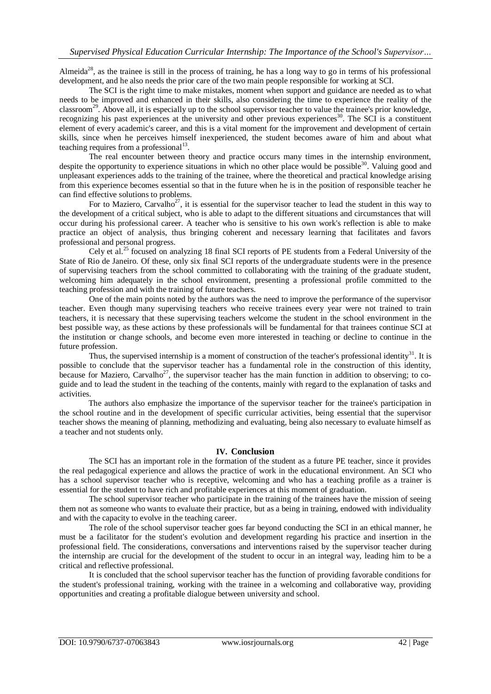Almeida<sup>28</sup>, as the trainee is still in the process of training, he has a long way to go in terms of his professional development, and he also needs the prior care of the two main people responsible for working at SCI.

The SCI is the right time to make mistakes, moment when support and guidance are needed as to what needs to be improved and enhanced in their skills, also considering the time to experience the reality of the classroom<sup>29</sup>. Above all, it is especially up to the school supervisor teacher to value the trainee's prior knowledge, recognizing his past experiences at the university and other previous experiences<sup>30</sup>. The SCI is a constituent element of every academic's career, and this is a vital moment for the improvement and development of certain skills, since when he perceives himself inexperienced, the student becomes aware of him and about what teaching requires from a professional $^{13}$ .

The real encounter between theory and practice occurs many times in the internship environment, despite the opportunity to experience situations in which no other place would be possible<sup>30</sup>. Valuing good and unpleasant experiences adds to the training of the trainee, where the theoretical and practical knowledge arising from this experience becomes essential so that in the future when he is in the position of responsible teacher he can find effective solutions to problems.

For to Maziero, Carvalho<sup>27</sup>, it is essential for the supervisor teacher to lead the student in this way to the development of a critical subject, who is able to adapt to the different situations and circumstances that will occur during his professional career. A teacher who is sensitive to his own work's reflection is able to make practice an object of analysis, thus bringing coherent and necessary learning that facilitates and favors professional and personal progress.

Cely et al.<sup>25</sup> focused on analyzing 18 final SCI reports of PE students from a Federal University of the State of Rio de Janeiro. Of these, only six final SCI reports of the undergraduate students were in the presence of supervising teachers from the school committed to collaborating with the training of the graduate student, welcoming him adequately in the school environment, presenting a professional profile committed to the teaching profession and with the training of future teachers.

One of the main points noted by the authors was the need to improve the performance of the supervisor teacher. Even though many supervising teachers who receive trainees every year were not trained to train teachers, it is necessary that these supervising teachers welcome the student in the school environment in the best possible way, as these actions by these professionals will be fundamental for that trainees continue SCI at the institution or change schools, and become even more interested in teaching or decline to continue in the future profession.

Thus, the supervised internship is a moment of construction of the teacher's professional identity $31$ . It is possible to conclude that the supervisor teacher has a fundamental role in the construction of this identity, because for Maziero, Carvalho<sup>27</sup>, the supervisor teacher has the main function in addition to observing; to coguide and to lead the student in the teaching of the contents, mainly with regard to the explanation of tasks and activities.

The authors also emphasize the importance of the supervisor teacher for the trainee's participation in the school routine and in the development of specific curricular activities, being essential that the supervisor teacher shows the meaning of planning, methodizing and evaluating, being also necessary to evaluate himself as a teacher and not students only.

# **IV. Conclusion**

The SCI has an important role in the formation of the student as a future PE teacher, since it provides the real pedagogical experience and allows the practice of work in the educational environment. An SCI who has a school supervisor teacher who is receptive, welcoming and who has a teaching profile as a trainer is essential for the student to have rich and profitable experiences at this moment of graduation.

The school supervisor teacher who participate in the training of the trainees have the mission of seeing them not as someone who wants to evaluate their practice, but as a being in training, endowed with individuality and with the capacity to evolve in the teaching career.

The role of the school supervisor teacher goes far beyond conducting the SCI in an ethical manner, he must be a facilitator for the student's evolution and development regarding his practice and insertion in the professional field. The considerations, conversations and interventions raised by the supervisor teacher during the internship are crucial for the development of the student to occur in an integral way, leading him to be a critical and reflective professional.

It is concluded that the school supervisor teacher has the function of providing favorable conditions for the student's professional training, working with the trainee in a welcoming and collaborative way, providing opportunities and creating a profitable dialogue between university and school.